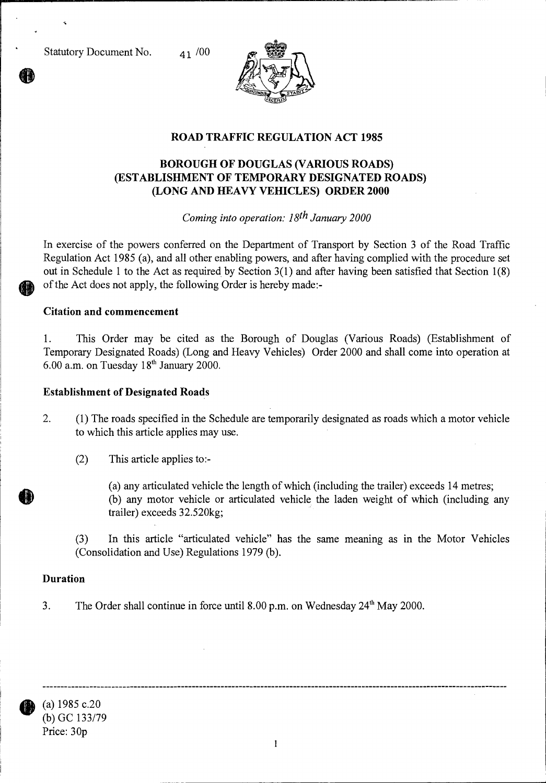Statutory Document No. 41 /00



# **ROAD TRAFFIC REGULATION ACT 1985**

## **BOROUGH OF DOUGLAS (VARIOUS ROADS) (ESTABLISHMENT OF TEMPORARY DESIGNATED ROADS) (LONG AND HEAVY VEHICLES) ORDER 2000**

*Coming into operation: 18th January 2000* 

In exercise of the powers conferred on the Department of Transport by Section 3 of the Road Traffic Regulation Act 1985 (a), and all other enabling powers, and after having complied with the procedure set out in Schedule 1 to the Act as required by Section 3(1) and after having been satisfied that Section 1(8) of the Act does not apply, the following Order is hereby made:-

#### **Citation and commencement**

1. This Order may be cited as the Borough of Douglas (Various Roads) (Establishment of Temporary Designated Roads) (Long and Heavy Vehicles) Order 2000 and shall come into operation at 6.00 a.m. on Tuesday  $18<sup>th</sup>$  January 2000.

#### **Establishment of Designated Roads**

- 2. (1) The roads specified in the Schedule are temporarily designated as roads which a motor vehicle to which this article applies may use.
	- (2) This article applies to:-

(a) any articulated vehicle the length of which (including the trailer) exceeds 14 metres; (b) any motor vehicle or articulated vehicle the laden weight of which (including any trailer) exceeds 32.520kg;

(3) In this article "articulated vehicle" has the same meaning as in the Motor Vehicles (Consolidation and Use) Regulations 1979 (b).

### **Duration**

3. The Order shall continue in force until 8.00 p.m. on Wednesday  $24<sup>th</sup>$  May 2000.



(a) 1985 c.20 (b) GC 133/79 Price: 30p